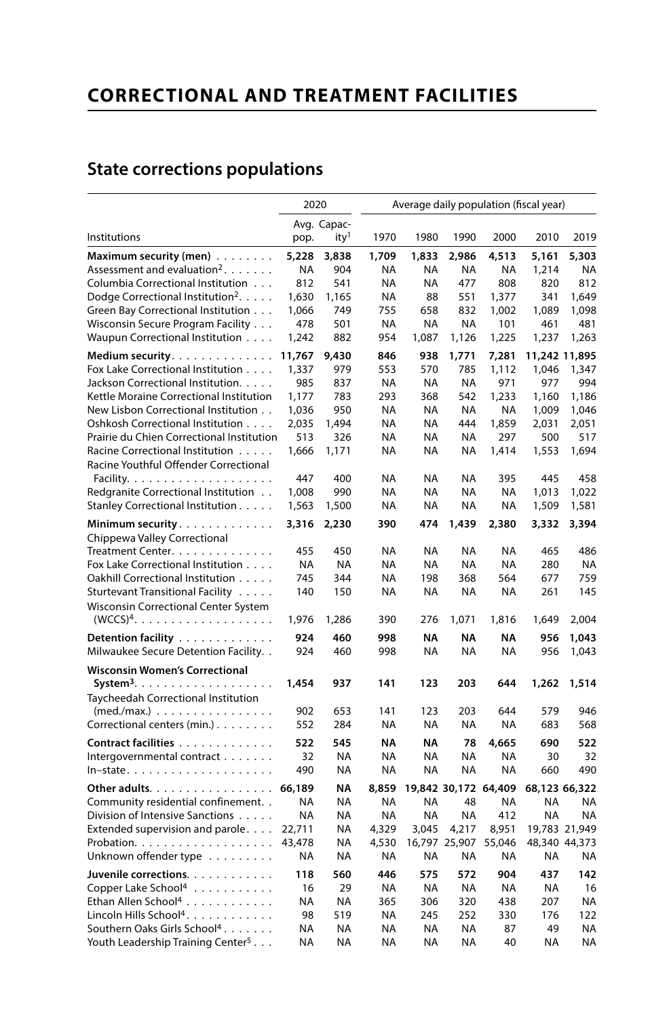## **CORRECTIONAL AND TREATMENT FACILITIES**

## **State corrections populations**

|                                                  | 2020      |                                 | Average daily population (fiscal year) |           |                      |           |           |               |  |
|--------------------------------------------------|-----------|---------------------------------|----------------------------------------|-----------|----------------------|-----------|-----------|---------------|--|
| Institutions                                     |           | Avg. Capac-<br>ity <sup>1</sup> | 1970                                   | 1980      | 1990                 | 2000      | 2010      | 2019          |  |
|                                                  | pop.      |                                 |                                        |           |                      |           |           |               |  |
| Maximum security (men)                           | 5,228     | 3,838                           | 1,709                                  | 1,833     | 2,986                | 4,513     | 5,161     | 5,303         |  |
| Assessment and evaluation <sup>2</sup> .         | <b>NA</b> | 904                             | NA                                     | NA        | <b>NA</b>            | <b>NA</b> | 1,214     | NA            |  |
| Columbia Correctional Institution                | 812       | 541                             | NA                                     | <b>NA</b> | 477                  | 808       | 820       | 812           |  |
| Dodge Correctional Institution <sup>2</sup> .    | 1,630     | 1,165                           | <b>NA</b>                              | 88        | 551                  | 1,377     | 341       | 1,649         |  |
| Green Bay Correctional Institution               | 1,066     | 749                             | 755                                    | 658       | 832                  | 1,002     | 1,089     | 1,098         |  |
| Wisconsin Secure Program Facility                | 478       | 501                             | <b>NA</b>                              | <b>NA</b> | NA                   | 101       | 461       | 481           |  |
| Waupun Correctional Institution                  | 1,242     | 882                             | 954                                    | 1,087     | 1,126                | 1,225     | 1,237     | 1,263         |  |
| Medium security. $\ldots$ .                      | 11,767    | 9,430                           | 846                                    | 938       | 1,771                | 7,281     |           | 11,242 11,895 |  |
| Fox Lake Correctional Institution                | 1,337     | 979                             | 553                                    | 570       | 785                  | 1,112     | 1,046     | 1,347         |  |
| Jackson Correctional Institution.                | 985       | 837                             | <b>NA</b>                              | <b>NA</b> | <b>NA</b>            | 971       | 977       | 994           |  |
| Kettle Moraine Correctional Institution          | 1,177     | 783                             | 293                                    | 368       | 542                  | 1,233     | 1,160     | 1,186         |  |
| New Lisbon Correctional Institution              | 1,036     | 950                             | ΝA                                     | NA        | <b>NA</b>            | NA        | 1,009     | 1,046         |  |
| Oshkosh Correctional Institution                 | 2,035     | 1,494                           | NA                                     | <b>NA</b> | 444                  | 1,859     | 2,031     | 2,051         |  |
| Prairie du Chien Correctional Institution        | 513       | 326                             | NA                                     | NA        | <b>NA</b>            | 297       | 500       | 517           |  |
| Racine Correctional Institution                  | 1,666     | 1,171                           | <b>NA</b>                              | NA        | <b>NA</b>            | 1,414     | 1,553     | 1,694         |  |
| Racine Youthful Offender Correctional            |           |                                 |                                        |           |                      |           |           |               |  |
|                                                  | 447       | 400                             | <b>NA</b>                              | NA        | <b>NA</b>            | 395       | 445       | 458           |  |
| Redgranite Correctional Institution              | 1,008     | 990                             | <b>NA</b>                              | NA        | <b>NA</b>            | NA        | 1,013     | 1,022         |  |
| Stanley Correctional Institution                 | 1,563     | 1,500                           | <b>NA</b>                              | <b>NA</b> | <b>NA</b>            | <b>NA</b> | 1,509     | 1,581         |  |
| Minimum security                                 | 3,316     | 2,230                           | 390                                    | 474       | 1,439                | 2,380     | 3,332     | 3,394         |  |
| Chippewa Valley Correctional                     |           |                                 |                                        |           |                      |           |           |               |  |
| Treatment Center.                                | 455       | 450                             | NA                                     | <b>NA</b> | <b>NA</b>            | <b>NA</b> | 465       | 486           |  |
| Fox Lake Correctional Institution                | <b>NA</b> | <b>NA</b>                       | <b>NA</b>                              | <b>NA</b> | <b>NA</b>            | <b>NA</b> | 280       | <b>NA</b>     |  |
| Oakhill Correctional Institution                 | 745       | 344                             | <b>NA</b>                              | 198       | 368                  | 564       | 677       | 759           |  |
| Sturtevant Transitional Facility                 | 140       | 150                             | NA                                     | NA        | NA                   | NA        | 261       | 145           |  |
| <b>Wisconsin Correctional Center System</b>      |           |                                 |                                        |           |                      |           |           |               |  |
|                                                  | 1,976     | 1,286                           | 390                                    | 276       | 1,071                | 1,816     | 1,649     | 2,004         |  |
| Detention facility                               | 924       | 460                             | 998                                    | NA        | ΝA                   | ΝA        | 956       | 1,043         |  |
| Milwaukee Secure Detention Facility              | 924       | 460                             | 998                                    | NA        | <b>NA</b>            | <b>NA</b> | 956       | 1,043         |  |
|                                                  |           |                                 |                                        |           |                      |           |           |               |  |
| <b>Wisconsin Women's Correctional</b>            |           |                                 |                                        |           |                      |           |           |               |  |
| System <sup>3</sup> .                            | 1,454     | 937                             | 141                                    | 123       | 203                  | 644       | 1,262     | 1,514         |  |
| Taycheedah Correctional Institution              |           |                                 |                                        |           |                      |           |           |               |  |
| $(med./max.) \ldots \ldots \ldots \ldots \ldots$ | 902       | 653                             | 141                                    | 123       | 203                  | 644       | 579       | 946           |  |
| Correctional centers (min.)                      | 552       | 284                             | <b>NA</b>                              | <b>NA</b> | <b>NA</b>            | NA        | 683       | 568           |  |
| Contract facilities                              | 522       | 545                             | ΝA                                     | ΝA        | 78                   | 4,665     | 690       | 522           |  |
| Intergovernmental contract                       | 32        | <b>NA</b>                       | <b>NA</b>                              | <b>NA</b> | <b>NA</b>            | <b>NA</b> | 30        | 32            |  |
| $In-state.$                                      | 490       | <b>NA</b>                       | <b>NA</b>                              | <b>NA</b> | <b>NA</b>            | <b>NA</b> | 660       | 490           |  |
| Other adults.                                    | 66,189    | ΝA                              | 8,859                                  |           | 19,842 30,172 64,409 |           |           | 68,123 66,322 |  |
| Community residential confinement                | NA        | <b>NA</b>                       | NA                                     | ΝA        | 48                   | NA        | ΝA        | NA            |  |
| Division of Intensive Sanctions                  | <b>NA</b> | <b>NA</b>                       | <b>NA</b>                              | <b>NA</b> | <b>NA</b>            | 412       | <b>NA</b> | <b>NA</b>     |  |
| Extended supervision and parole.                 | 22,711    | <b>NA</b>                       | 4,329                                  | 3,045     | 4,217                | 8,951     |           | 19,783 21,949 |  |
| Probation.                                       | 43,478    | <b>NA</b>                       | 4,530                                  |           | 16,797 25,907        | 55,046    |           | 48,340 44,373 |  |
| Unknown offender type                            | <b>NA</b> | NA                              | <b>NA</b>                              | <b>NA</b> | <b>NA</b>            | NA        | <b>NA</b> | ΝA            |  |
| Juvenile corrections.                            | 118       | 560                             | 446                                    | 575       | 572                  | 904       | 437       | 142           |  |
| Copper Lake School <sup>4</sup>                  | 16        | 29                              | <b>NA</b>                              | <b>NA</b> | <b>NA</b>            | <b>NA</b> | <b>NA</b> | 16            |  |
| Ethan Allen School <sup>4</sup>                  | <b>NA</b> | <b>NA</b>                       | 365                                    | 306       | 320                  | 438       | 207       | NA            |  |
| Lincoln Hills School <sup>4</sup> .              | 98        | 519                             | <b>NA</b>                              | 245       | 252                  | 330       | 176       | 122           |  |
| Southern Oaks Girls School <sup>4</sup>          | <b>NA</b> | NA                              | <b>NA</b>                              | <b>NA</b> | NA                   | 87        | 49        | <b>NA</b>     |  |
| Youth Leadership Training Center <sup>5</sup>    | <b>NA</b> | NA                              | <b>NA</b>                              | <b>NA</b> | <b>NA</b>            | 40        | NA        | <b>NA</b>     |  |